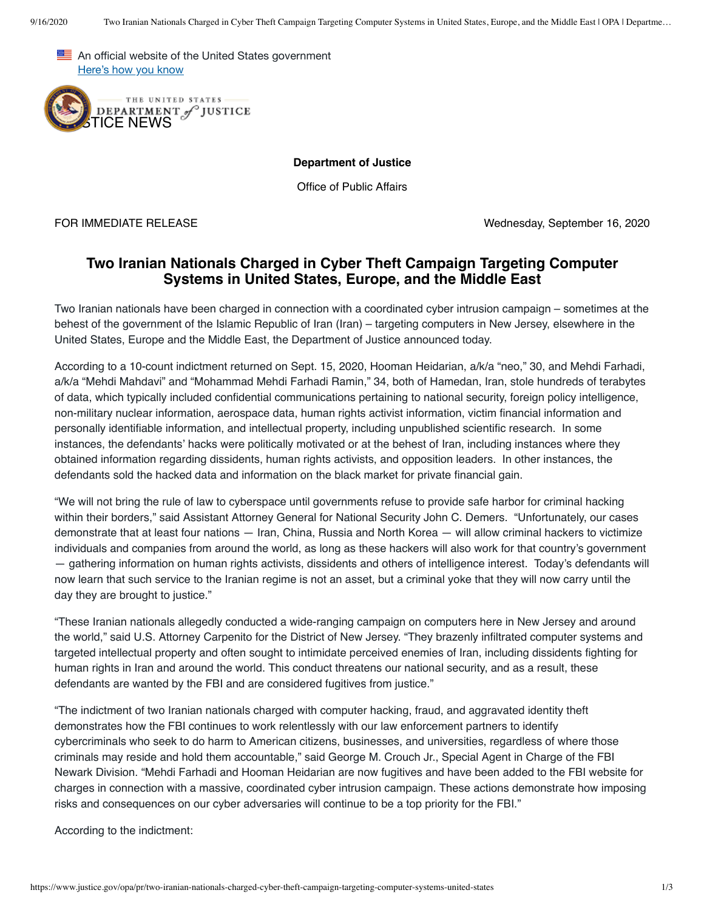



**Department of Justice**

Office of Public Affairs

FOR IMMEDIATE RELEASE Wednesday, September 16, 2020

## **Two Iranian Nationals Charged in Cyber Theft Campaign Targeting Computer Systems in United States, Europe, and the Middle East**

Two Iranian nationals have been charged in connection with a coordinated cyber intrusion campaign – sometimes at the behest of the government of the Islamic Republic of Iran (Iran) – targeting computers in New Jersey, elsewhere in the United States, Europe and the Middle East, the Department of Justice announced today.

According to a 10-count indictment returned on Sept. 15, 2020, Hooman Heidarian, a/k/a "neo," 30, and Mehdi Farhadi, a/k/a "Mehdi Mahdavi" and "Mohammad Mehdi Farhadi Ramin," 34, both of Hamedan, Iran, stole hundreds of terabytes of data, which typically included confidential communications pertaining to national security, foreign policy intelligence, non-military nuclear information, aerospace data, human rights activist information, victim financial information and personally identifiable information, and intellectual property, including unpublished scientific research. In some instances, the defendants' hacks were politically motivated or at the behest of Iran, including instances where they obtained information regarding dissidents, human rights activists, and opposition leaders. In other instances, the defendants sold the hacked data and information on the black market for private financial gain.

"We will not bring the rule of law to cyberspace until governments refuse to provide safe harbor for criminal hacking within their borders," said Assistant Attorney General for National Security John C. Demers. "Unfortunately, our cases demonstrate that at least four nations — Iran, China, Russia and North Korea — will allow criminal hackers to victimize individuals and companies from around the world, as long as these hackers will also work for that country's government — gathering information on human rights activists, dissidents and others of intelligence interest. Today's defendants will now learn that such service to the Iranian regime is not an asset, but a criminal yoke that they will now carry until the day they are brought to justice."

"These Iranian nationals allegedly conducted a wide-ranging campaign on computers here in New Jersey and around the world," said U.S. Attorney Carpenito for the District of New Jersey. "They brazenly infiltrated computer systems and targeted intellectual property and often sought to intimidate perceived enemies of Iran, including dissidents fighting for human rights in Iran and around the world. This conduct threatens our national security, and as a result, these defendants are wanted by the FBI and are considered fugitives from justice."

"The indictment of two Iranian nationals charged with computer hacking, fraud, and aggravated identity theft demonstrates how the FBI continues to work relentlessly with our law enforcement partners to identify cybercriminals who seek to do harm to American citizens, businesses, and universities, regardless of where those criminals may reside and hold them accountable," said George M. Crouch Jr., Special Agent in Charge of the FBI Newark Division. "Mehdi Farhadi and Hooman Heidarian are now fugitives and have been added to the FBI website for charges in connection with a massive, coordinated cyber intrusion campaign. These actions demonstrate how imposing risks and consequences on our cyber adversaries will continue to be a top priority for the FBI."

According to the indictment: